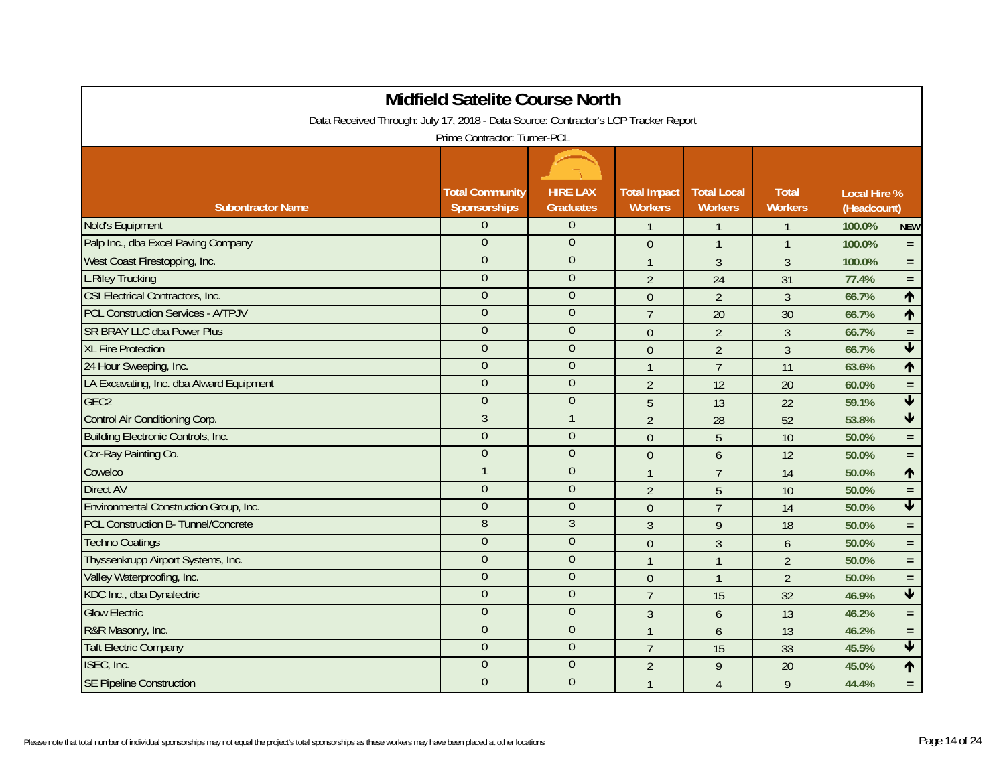|                                                                                     | <b>Midfield Satelite Course North</b>  |                                     |                                       |                                      |                                |                                    |                            |
|-------------------------------------------------------------------------------------|----------------------------------------|-------------------------------------|---------------------------------------|--------------------------------------|--------------------------------|------------------------------------|----------------------------|
| Data Received Through: July 17, 2018 - Data Source: Contractor's LCP Tracker Report |                                        |                                     |                                       |                                      |                                |                                    |                            |
|                                                                                     | Prime Contractor: Turner-PCL           |                                     |                                       |                                      |                                |                                    |                            |
|                                                                                     |                                        |                                     |                                       |                                      |                                |                                    |                            |
| <b>Subontractor Name</b>                                                            | <b>Total Community</b><br>Sponsorships | <b>HIRE LAX</b><br><b>Graduates</b> | <b>Total Impact</b><br><b>Workers</b> | <b>Total Local</b><br><b>Workers</b> | <b>Total</b><br><b>Workers</b> | <b>Local Hire %</b><br>(Headcount) |                            |
| Nold's Equipment                                                                    | $\theta$                               | $\theta$                            | $\overline{1}$                        | $\mathbf{1}$                         |                                | 100.0%                             | <b>NEW</b>                 |
| Palp Inc., dba Excel Paving Company                                                 | $\Omega$                               | $\theta$                            | $\boldsymbol{0}$                      | $\mathbf{1}$                         | $\mathbf{1}$                   | 100.0%                             | $\equiv$                   |
| West Coast Firestopping, Inc.                                                       | $\Omega$                               | $\overline{0}$                      | $\mathbf{1}$                          | $\overline{3}$                       | $\overline{3}$                 | 100.0%                             | $\equiv$                   |
| <b>L.Riley Trucking</b>                                                             | $\overline{0}$                         | $\overline{0}$                      | $\overline{2}$                        | 24                                   | 31                             | 77.4%                              | $\equiv$                   |
| CSI Electrical Contractors, Inc.                                                    | $\theta$                               | $\overline{0}$                      | $\mathbf{0}$                          | $\overline{2}$                       | $\mathfrak{Z}$                 | 66.7%                              | $\uparrow$                 |
| <b>PCL Construction Services - A/TPJV</b>                                           | $\theta$                               | $\mathbf{0}$                        | $\overline{7}$                        | 20                                   | 30                             | 66.7%                              | $\uparrow$                 |
| <b>SR BRAY LLC dba Power Plus</b>                                                   | $\theta$                               | $\mathbf{0}$                        | $\mathbf{0}$                          | $\overline{2}$                       | $\mathfrak{Z}$                 | 66.7%                              | $\equiv$                   |
| <b>XL Fire Protection</b>                                                           | $\theta$                               | $\theta$                            | $\boldsymbol{0}$                      | $\overline{2}$                       | $\overline{3}$                 | 66.7%                              | $\blacktriangledown$       |
| 24 Hour Sweeping, Inc.                                                              | $\Omega$                               | $\overline{0}$                      | $\mathbf{1}$                          | $\overline{7}$                       | 11                             | 63.6%                              | $\uparrow$                 |
| LA Excavating, Inc. dba Alward Equipment                                            | $\overline{0}$                         | $\overline{0}$                      | $\overline{2}$                        | 12                                   | 20                             | 60.0%                              | $\equiv$                   |
| GEC <sub>2</sub>                                                                    | $\theta$                               | $\overline{0}$                      | 5                                     | 13                                   | 22                             | 59.1%                              | $\overline{\mathbf{V}}$    |
| Control Air Conditioning Corp.                                                      | $\mathfrak{Z}$                         |                                     | $\overline{2}$                        | 28                                   | 52                             | 53.8%                              | $\blacklozenge$            |
| <b>Building Electronic Controls, Inc.</b>                                           | $\overline{0}$                         | $\mathbf{0}$                        | $\boldsymbol{0}$                      | 5                                    | 10                             | 50.0%                              | $\equiv$                   |
| Cor-Ray Painting Co.                                                                | $\overline{0}$                         | $\overline{0}$                      | $\overline{0}$                        | $\mathfrak b$                        | 12                             | 50.0%                              | $\equiv$                   |
| Cowelco                                                                             |                                        | $\mathbf{0}$                        | $\mathbf{1}$                          | $\overline{7}$                       | 14                             | 50.0%                              | $\uparrow$                 |
| <b>Direct AV</b>                                                                    | $\overline{0}$                         | $\mathbf{0}$                        | $\overline{2}$                        | 5                                    | 10                             | 50.0%                              | $\equiv$                   |
| Environmental Construction Group, Inc.                                              | $\theta$                               | $\mathbf{0}$                        | $\mathbf{0}$                          | $\overline{7}$                       | 14                             | 50.0%                              | $\overline{\textbf{v}}$    |
| PCL Construction B- Tunnel/Concrete                                                 | 8                                      | 3                                   | $\overline{3}$                        | 9                                    | 18                             | 50.0%                              | $\equiv$                   |
| <b>Techno Coatings</b>                                                              | $\overline{0}$                         | $\overline{0}$                      | $\boldsymbol{0}$                      | $\overline{3}$                       | $\boldsymbol{6}$               | 50.0%                              | $\equiv$                   |
| Thyssenkrupp Airport Systems, Inc.                                                  | $\overline{0}$                         | $\overline{0}$                      | $\mathbf{1}$                          | $\overline{1}$                       | $\overline{2}$                 | 50.0%                              | $\equiv$                   |
| Valley Waterproofing, Inc.                                                          | $\overline{0}$                         | $\overline{0}$                      | $\mathbf{0}$                          | $\mathbf{1}$                         | $\overline{2}$                 | 50.0%                              | $\equiv$                   |
| KDC Inc., dba Dynalectric                                                           | $\overline{0}$                         | $\mathbf{0}$                        | $\overline{7}$                        | 15                                   | 32                             | 46.9%                              | $\overline{\blacklozenge}$ |
| <b>Glow Electric</b>                                                                | $\Omega$                               | $\overline{0}$                      | 3                                     | 6                                    | 13                             | 46.2%                              | $\equiv$                   |
| R&R Masonry, Inc.                                                                   | $\theta$                               | $\mathbf{0}$                        | $\mathbf{1}$                          | 6                                    | 13                             | 46.2%                              | $\equiv$                   |
| <b>Taft Electric Company</b>                                                        | $\overline{0}$                         | $\theta$                            | $\overline{7}$                        | 15                                   | 33                             | 45.5%                              | $\blacktriangledown$       |
| ISEC, Inc.                                                                          | $\Omega$                               | $\overline{0}$                      | $\overline{2}$                        | 9                                    | 20                             | 45.0%                              | $\uparrow$                 |
| <b>SE Pipeline Construction</b>                                                     | $\overline{0}$                         | $\overline{0}$                      | $\mathbf{1}$                          | $\overline{4}$                       | 9                              | 44.4%                              | $\equiv$                   |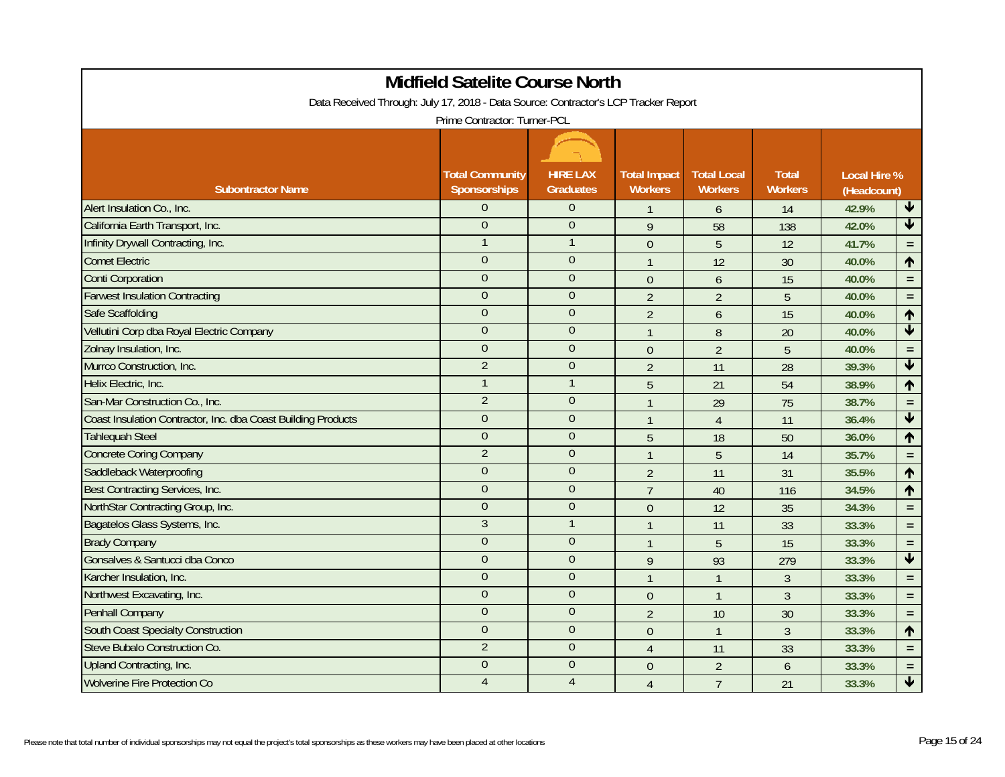|                                                                                     | <b>Midfield Satelite Course North</b>         |                                     |                                       |                                      |                                |                                    |                            |  |  |
|-------------------------------------------------------------------------------------|-----------------------------------------------|-------------------------------------|---------------------------------------|--------------------------------------|--------------------------------|------------------------------------|----------------------------|--|--|
| Data Received Through: July 17, 2018 - Data Source: Contractor's LCP Tracker Report |                                               |                                     |                                       |                                      |                                |                                    |                            |  |  |
| Prime Contractor: Turner-PCL                                                        |                                               |                                     |                                       |                                      |                                |                                    |                            |  |  |
|                                                                                     |                                               |                                     |                                       |                                      |                                |                                    |                            |  |  |
| <b>Subontractor Name</b>                                                            | <b>Total Community</b><br><b>Sponsorships</b> | <b>HIRE LAX</b><br><b>Graduates</b> | <b>Total Impact</b><br><b>Workers</b> | <b>Total Local</b><br><b>Workers</b> | <b>Total</b><br><b>Workers</b> | <b>Local Hire %</b><br>(Headcount) |                            |  |  |
| Alert Insulation Co., Inc.                                                          | $\Omega$                                      | $\mathbf{0}$                        | $\mathbf{1}$                          | 6                                    | 14                             | 42.9%                              | $\blacklozenge$            |  |  |
| California Earth Transport, Inc.                                                    | $\overline{0}$                                | $\overline{0}$                      | 9                                     | 58                                   | 138                            | 42.0%                              | $\blacklozenge$            |  |  |
| Infinity Drywall Contracting, Inc.                                                  |                                               | $\mathbf{1}$                        | $\Omega$                              | 5                                    | 12                             | 41.7%                              | $\equiv$                   |  |  |
| <b>Comet Electric</b>                                                               | $\overline{0}$                                | $\theta$                            | $\overline{1}$                        | 12                                   | 30                             | 40.0%                              | $\uparrow$                 |  |  |
| <b>Conti Corporation</b>                                                            | $\overline{0}$                                | $\theta$                            | $\mathbf{0}$                          | 6                                    | 15                             | 40.0%                              | $\equiv$                   |  |  |
| <b>Farwest Insulation Contracting</b>                                               | $\overline{0}$                                | $\theta$                            | $\overline{2}$                        | $\overline{2}$                       | 5                              | 40.0%                              | $\equiv$                   |  |  |
| <b>Safe Scaffolding</b>                                                             | $\Omega$                                      | $\overline{0}$                      | $\overline{2}$                        | 6                                    | 15                             | 40.0%                              | $\uparrow$                 |  |  |
| Vellutini Corp dba Royal Electric Company                                           | $\Omega$                                      | $\theta$                            | $\mathbf{1}$                          | 8                                    | 20                             | 40.0%                              | $\blacktriangledown$       |  |  |
| Zolnay Insulation, Inc.                                                             | $\overline{0}$                                | $\overline{0}$                      | $\overline{0}$                        | $\overline{2}$                       | 5                              | 40.0%                              | $\equiv$                   |  |  |
| Murrco Construction, Inc.                                                           | $\overline{2}$                                | $\theta$                            | $\overline{2}$                        | 11                                   | 28                             | 39.3%                              | $\overline{\blacklozenge}$ |  |  |
| Helix Electric, Inc.                                                                |                                               | $\mathbf{1}$                        | 5                                     | 21                                   | 54                             | 38.9%                              | ↑                          |  |  |
| San-Mar Construction Co., Inc.                                                      | $\overline{2}$                                | $\theta$                            | $\overline{1}$                        | 29                                   | 75                             | 38.7%                              | $\equiv$                   |  |  |
| Coast Insulation Contractor, Inc. dba Coast Building Products                       | $\overline{0}$                                | $\overline{0}$                      | $\mathbf{1}$                          | $\overline{4}$                       | 11                             | 36.4%                              | $\blacktriangledown$       |  |  |
| <b>Tahlequah Steel</b>                                                              | $\overline{0}$                                | $\overline{0}$                      | 5                                     | 18                                   | 50                             | 36.0%                              | $\uparrow$                 |  |  |
| Concrete Coring Company                                                             | $\overline{2}$                                | $\Omega$                            | $\mathbf{1}$                          | 5                                    | 14                             | 35.7%                              | $\equiv$                   |  |  |
| Saddleback Waterproofing                                                            | $\overline{0}$                                | $\theta$                            | $\overline{2}$                        | 11                                   | 31                             | 35.5%                              | $\uparrow$                 |  |  |
| <b>Best Contracting Services, Inc.</b>                                              | $\overline{0}$                                | $\overline{0}$                      | $\overline{7}$                        | 40                                   | 116                            | 34.5%                              | ↑                          |  |  |
| NorthStar Contracting Group, Inc.                                                   | $\overline{0}$                                | $\overline{0}$                      | $\mathbf{0}$                          | 12                                   | 35                             | 34.3%                              | $\equiv$                   |  |  |
| Bagatelos Glass Systems, Inc.                                                       | $\overline{3}$                                | $\mathbf{1}$                        | $\overline{1}$                        | 11                                   | 33                             | 33.3%                              | $\equiv$                   |  |  |
| <b>Brady Company</b>                                                                | $\overline{0}$                                | $\Omega$                            | $\mathbf{1}$                          | 5                                    | 15                             | 33.3%                              | $\equiv$                   |  |  |
| Gonsalves & Santucci dba Conco                                                      | $\overline{0}$                                | $\overline{0}$                      | 9                                     | 93                                   | 279                            | 33.3%                              | $\blacklozenge$            |  |  |
| Karcher Insulation, Inc.                                                            | $\Omega$                                      | $\Omega$                            | $\overline{1}$                        | $\mathbf{1}$                         | $\mathfrak{Z}$                 | 33.3%                              | $\equiv$                   |  |  |
| Northwest Excavating, Inc.                                                          | $\overline{0}$                                | $\overline{0}$                      | $\mathbf 0$                           | $\overline{1}$                       | $\mathfrak{Z}$                 | 33.3%                              | $\equiv$                   |  |  |
| Penhall Company                                                                     | $\overline{0}$                                | $\overline{0}$                      | $\overline{2}$                        | 10                                   | 30                             | 33.3%                              | $\equiv$                   |  |  |
| South Coast Specialty Construction                                                  | $\Omega$                                      | $\Omega$                            | $\mathbf{0}$                          | $\mathbf{1}$                         | $\mathfrak{Z}$                 | 33.3%                              | $\uparrow$                 |  |  |
| Steve Bubalo Construction Co.                                                       | $\overline{2}$                                | $\overline{0}$                      | $\overline{4}$                        | 11                                   | 33                             | 33.3%                              | $\equiv$                   |  |  |
| Upland Contracting, Inc.                                                            | $\overline{0}$                                | $\theta$                            | $\theta$                              | $\overline{2}$                       | 6                              | 33.3%                              | $\equiv$                   |  |  |
| <b>Wolverine Fire Protection Co</b>                                                 | $\overline{4}$                                | $\overline{4}$                      | $\overline{4}$                        | $\overline{7}$                       | 21                             | 33.3%                              | $\blacklozenge$            |  |  |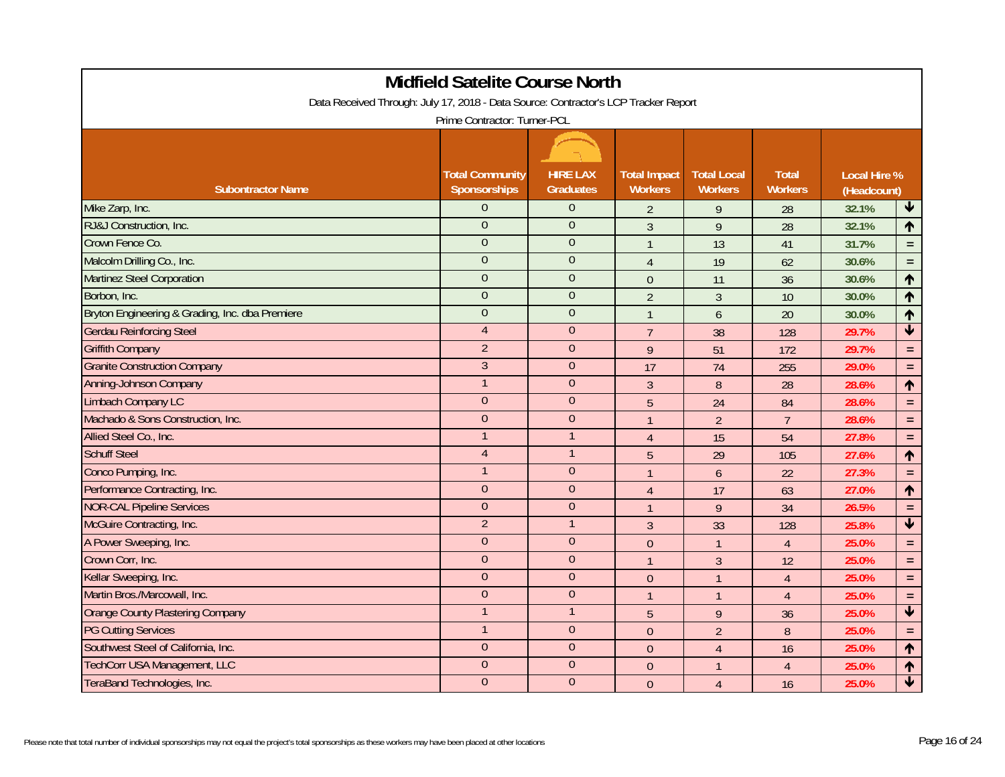| Midfield Satelite Course North                                                      |                                               |                                     |                                       |                                      |                                |                                    |                         |  |  |
|-------------------------------------------------------------------------------------|-----------------------------------------------|-------------------------------------|---------------------------------------|--------------------------------------|--------------------------------|------------------------------------|-------------------------|--|--|
| Data Received Through: July 17, 2018 - Data Source: Contractor's LCP Tracker Report |                                               |                                     |                                       |                                      |                                |                                    |                         |  |  |
| Prime Contractor: Turner-PCL                                                        |                                               |                                     |                                       |                                      |                                |                                    |                         |  |  |
|                                                                                     |                                               |                                     |                                       |                                      |                                |                                    |                         |  |  |
| <b>Subontractor Name</b>                                                            | <b>Total Community</b><br><b>Sponsorships</b> | <b>HIRE LAX</b><br><b>Graduates</b> | <b>Total Impact</b><br><b>Workers</b> | <b>Total Local</b><br><b>Workers</b> | <b>Total</b><br><b>Workers</b> | <b>Local Hire %</b><br>(Headcount) |                         |  |  |
| Mike Zarp, Inc.                                                                     | $\Omega$                                      | $\mathbf{0}$                        | $\overline{2}$                        | 9                                    | 28                             | 32.1%                              | $\blacklozenge$         |  |  |
| RJ&J Construction, Inc.                                                             | $\overline{0}$                                | $\overline{0}$                      | $\overline{3}$                        | 9                                    | 28                             | 32.1%                              | ↑                       |  |  |
| Crown Fence Co.                                                                     | $\overline{0}$                                | $\theta$                            | $\overline{1}$                        | 13                                   | 41                             | 31.7%                              | $\equiv$                |  |  |
| Malcolm Drilling Co., Inc.                                                          | $\overline{0}$                                | $\theta$                            | $\overline{4}$                        | 19                                   | 62                             | 30.6%                              | $\equiv$                |  |  |
| <b>Martinez Steel Corporation</b>                                                   | $\overline{0}$                                | $\overline{0}$                      | $\mathbf{0}$                          | 11                                   | 36                             | 30.6%                              | $\uparrow$              |  |  |
| Borbon, Inc.                                                                        | $\overline{0}$                                | $\theta$                            | $\overline{2}$                        | 3                                    | 10                             | 30.0%                              | 个                       |  |  |
| Bryton Engineering & Grading, Inc. dba Premiere                                     | $\Omega$                                      | $\overline{0}$                      | $\mathbf{1}$                          | $\boldsymbol{6}$                     | 20                             | 30.0%                              | $\uparrow$              |  |  |
| <b>Gerdau Reinforcing Steel</b>                                                     | $\overline{4}$                                | $\Omega$                            | $\overline{7}$                        | 38                                   | 128                            | 29.7%                              | $\blacktriangledown$    |  |  |
| <b>Griffith Company</b>                                                             | $\overline{2}$                                | $\overline{0}$                      | 9                                     | 51                                   | 172                            | 29.7%                              | $\equiv$                |  |  |
| <b>Granite Construction Company</b>                                                 | $\mathfrak{Z}$                                | $\theta$                            | 17                                    | 74                                   | 255                            | 29.0%                              | $\equiv$                |  |  |
| <b>Anning-Johnson Company</b>                                                       |                                               | $\Omega$                            | $\overline{3}$                        | 8                                    | 28                             | 28.6%                              | $\uparrow$              |  |  |
| <b>Limbach Company LC</b>                                                           | $\overline{0}$                                | $\theta$                            | 5                                     | 24                                   | 84                             | 28.6%                              | $\equiv$                |  |  |
| Machado & Sons Construction, Inc.                                                   | $\overline{0}$                                | $\overline{0}$                      | $\mathbf{1}$                          | $\overline{2}$                       | 7                              | 28.6%                              | $\equiv$                |  |  |
| Allied Steel Co., Inc.                                                              |                                               | $\mathbf{1}$                        | $\overline{4}$                        | 15                                   | 54                             | 27.8%                              | $\equiv$                |  |  |
| <b>Schuff Steel</b>                                                                 | $\overline{4}$                                | $\mathbf{1}$                        | 5                                     | 29                                   | 105                            | 27.6%                              | $\uparrow$              |  |  |
| Conco Pumping, Inc.                                                                 |                                               | $\theta$                            | $\overline{1}$                        | 6                                    | 22                             | 27.3%                              | $\equiv$                |  |  |
| Performance Contracting, Inc.                                                       | $\overline{0}$                                | $\theta$                            | $\overline{4}$                        | 17                                   | 63                             | 27.0%                              | $\uparrow$              |  |  |
| <b>NOR-CAL Pipeline Services</b>                                                    | $\overline{0}$                                | $\theta$                            | $\overline{1}$                        | 9                                    | 34                             | 26.5%                              | $\equiv$                |  |  |
| McGuire Contracting, Inc.                                                           | $\overline{2}$                                | $\mathbf{1}$                        | $\overline{3}$                        | 33                                   | 128                            | 25.8%                              | $\overline{\textbf{t}}$ |  |  |
| A Power Sweeping, Inc.                                                              | $\overline{0}$                                | $\Omega$                            | $\overline{0}$                        | $\mathbf{1}$                         | $\overline{4}$                 | 25.0%                              | $\equiv$                |  |  |
| Crown Corr, Inc.                                                                    | $\overline{0}$                                | $\overline{0}$                      | $\overline{1}$                        | $\overline{3}$                       | 12                             | 25.0%                              | $\equiv$                |  |  |
| Kellar Sweeping, Inc.                                                               | $\Omega$                                      | $\Omega$                            | $\theta$                              | $\mathbf{1}$                         | $\overline{4}$                 | 25.0%                              | $\equiv$                |  |  |
| Martin Bros./Marcowall, Inc.                                                        | $\boldsymbol{0}$                              | $\boldsymbol{0}$                    | $\overline{1}$                        | $\overline{1}$                       | $\overline{4}$                 | 25.0%                              | $\equiv$                |  |  |
| <b>Orange County Plastering Company</b>                                             |                                               | $\mathbf{1}$                        | 5                                     | 9                                    | 36                             | 25.0%                              | $\overline{\textbf{v}}$ |  |  |
| <b>PG Cutting Services</b>                                                          |                                               | $\Omega$                            | $\mathbf{0}$                          | $\overline{2}$                       | $\boldsymbol{8}$               | 25.0%                              | $\equiv$                |  |  |
| Southwest Steel of California, Inc.                                                 | $\overline{0}$                                | $\theta$                            | $\overline{0}$                        | $\overline{4}$                       | 16                             | 25.0%                              | $\uparrow$              |  |  |
| <b>TechCorr USA Management, LLC</b>                                                 | $\overline{0}$                                | $\theta$                            | $\theta$                              | $\mathbf{1}$                         | $\overline{4}$                 | 25.0%                              | $\uparrow$              |  |  |
| TeraBand Technologies, Inc.                                                         | $\overline{0}$                                | $\overline{0}$                      | $\overline{0}$                        | $\overline{4}$                       | 16                             | 25.0%                              | $\overline{\textbf{v}}$ |  |  |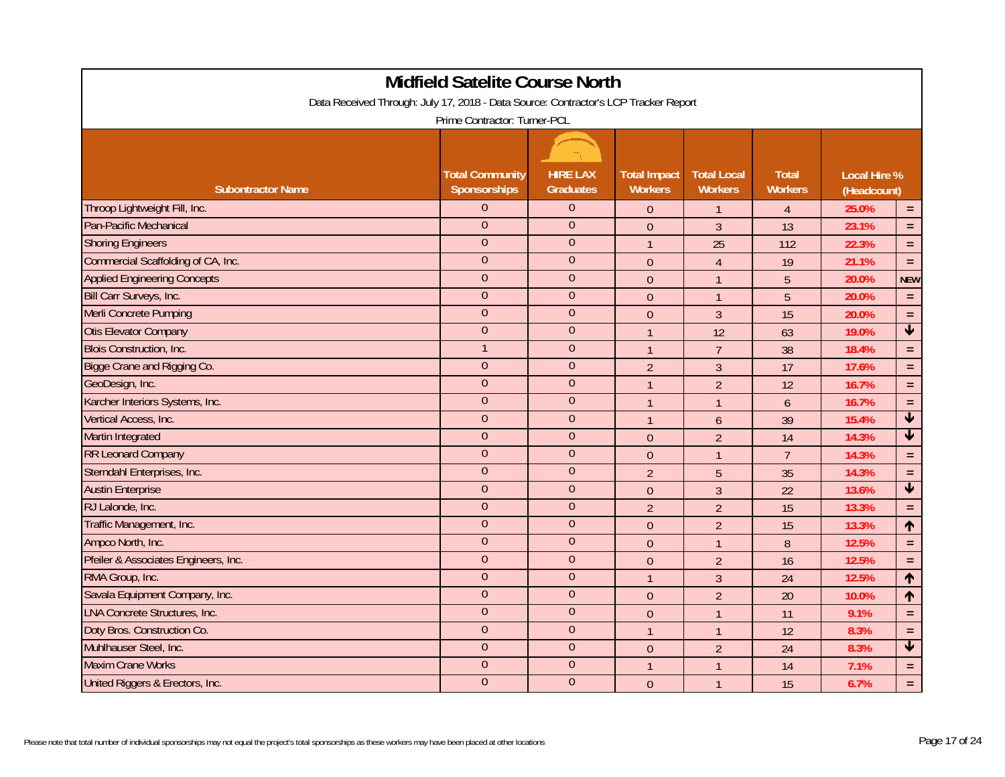|                                                                                     | Midfield Satelite Course North         |                                     |                                       |                                      |                                |                             |                         |  |  |
|-------------------------------------------------------------------------------------|----------------------------------------|-------------------------------------|---------------------------------------|--------------------------------------|--------------------------------|-----------------------------|-------------------------|--|--|
| Data Received Through: July 17, 2018 - Data Source: Contractor's LCP Tracker Report |                                        |                                     |                                       |                                      |                                |                             |                         |  |  |
| Prime Contractor: Turner-PCL                                                        |                                        |                                     |                                       |                                      |                                |                             |                         |  |  |
|                                                                                     |                                        |                                     |                                       |                                      |                                |                             |                         |  |  |
| <b>Subontractor Name</b>                                                            | <b>Total Community</b><br>Sponsorships | <b>HIRE LAX</b><br><b>Graduates</b> | <b>Total Impact</b><br><b>Workers</b> | <b>Total Local</b><br><b>Workers</b> | <b>Total</b><br><b>Workers</b> | Local Hire %<br>(Headcount) |                         |  |  |
| Throop Lightweight Fill, Inc.                                                       | $\Omega$                               | $\mathbf{0}$                        | $\theta$                              |                                      | $\overline{4}$                 | 25.0%                       | $\equiv$                |  |  |
| Pan-Pacific Mechanical                                                              | $\overline{0}$                         | $\overline{0}$                      | $\overline{0}$                        | 3                                    | 13                             | 23.1%                       | $\equiv$                |  |  |
| <b>Shoring Engineers</b>                                                            | $\Omega$                               | $\theta$                            | $\overline{1}$                        | 25                                   | 112                            | 22.3%                       | $\equiv$                |  |  |
| Commercial Scaffolding of CA, Inc.                                                  | $\overline{0}$                         | $\theta$                            | $\mathbf{0}$                          | $\overline{4}$                       | 19                             | 21.1%                       | $\equiv$                |  |  |
| <b>Applied Engineering Concepts</b>                                                 | $\overline{0}$                         | $\mathbf{0}$                        | $\theta$                              | $\mathbf{1}$                         | 5                              | 20.0%                       | <b>NEW</b>              |  |  |
| Bill Carr Surveys, Inc.                                                             | $\overline{0}$                         | $\theta$                            | $\mathbf{0}$                          | $\mathbf{1}$                         | 5                              | 20.0%                       | $\equiv$                |  |  |
| Merli Concrete Pumping                                                              | $\Omega$                               | $\theta$                            | $\theta$                              | $\overline{3}$                       | 15                             | 20.0%                       | $\equiv$                |  |  |
| <b>Otis Elevator Company</b>                                                        | $\overline{0}$                         | $\overline{0}$                      | $\overline{1}$                        | 12                                   | 63                             | 19.0%                       | $\overline{\textbf{r}}$ |  |  |
| <b>Blois Construction, Inc.</b>                                                     | $\mathbf{1}$                           | $\overline{0}$                      | $\overline{1}$                        | $\overline{7}$                       | 38                             | 18.4%                       | $\equiv$                |  |  |
| Bigge Crane and Rigging Co.                                                         | $\overline{0}$                         | $\mathbf{0}$                        | $\overline{2}$                        | $\overline{3}$                       | 17                             | 17.6%                       | $\equiv$                |  |  |
| GeoDesign, Inc.                                                                     | $\overline{0}$                         | $\overline{0}$                      | $\mathbf{1}$                          | $\overline{2}$                       | 12                             | 16.7%                       | $\equiv$                |  |  |
| Karcher Interiors Systems, Inc.                                                     | $\overline{0}$                         | $\theta$                            | $\overline{1}$                        | $\overline{1}$                       | $\mathfrak b$                  | 16.7%                       | $\equiv$                |  |  |
| Vertical Access, Inc.                                                               | $\overline{0}$                         | $\overline{0}$                      | $\overline{1}$                        | 6                                    | 39                             | 15.4%                       | $\blacktriangledown$    |  |  |
| Martin Integrated                                                                   | $\overline{0}$                         | $\overline{0}$                      | $\pmb{0}$                             | $\overline{2}$                       | 14                             | 14.3%                       | $\overline{\textbf{v}}$ |  |  |
| <b>RR Leonard Company</b>                                                           | $\overline{0}$                         | $\theta$                            | $\mathbf{0}$                          | $\overline{1}$                       | $\overline{7}$                 | 14.3%                       | $\equiv$                |  |  |
| Sterndahl Enterprises, Inc.                                                         | $\overline{0}$                         | $\theta$                            | $\overline{2}$                        | 5                                    | 35                             | 14.3%                       | $\equiv$                |  |  |
| <b>Austin Enterprise</b>                                                            | $\overline{0}$                         | $\overline{0}$                      | $\theta$                              | $\mathfrak{Z}$                       | 22                             | 13.6%                       | $\overline{\textbf{t}}$ |  |  |
| RJ Lalonde, Inc.                                                                    | $\overline{0}$                         | $\mathbf{0}$                        | $\overline{2}$                        | $\overline{2}$                       | 15                             | 13.3%                       | $\equiv$                |  |  |
| Traffic Management, Inc.                                                            | $\Omega$                               | $\theta$                            | $\mathbf{0}$                          | $\overline{2}$                       | 15                             | 13.3%                       | $\uparrow$              |  |  |
| Ampco North, Inc.                                                                   | $\overline{0}$                         | $\theta$                            | $\mathbf{0}$                          | $\overline{1}$                       | 8                              | 12.5%                       | $\equiv$                |  |  |
| Pfeiler & Associates Engineers, Inc.                                                | $\Omega$                               | $\theta$                            | $\theta$                              | $\overline{2}$                       | 16                             | 12.5%                       | $\equiv$                |  |  |
| RMA Group, Inc.                                                                     | $\overline{0}$                         | $\overline{0}$                      | $\overline{1}$                        | $\mathfrak{Z}$                       | 24                             | 12.5%                       | $\uparrow$              |  |  |
| Savala Equipment Company, Inc.                                                      | $\overline{0}$                         | $\overline{0}$                      | $\theta$                              | $\overline{2}$                       | 20                             | 10.0%                       | $\uparrow$              |  |  |
| <b>LNA Concrete Structures, Inc.</b>                                                | $\overline{0}$                         | $\theta$                            | $\theta$                              | $\mathbf{1}$                         | 11                             | 9.1%                        | $\equiv$                |  |  |
| Doty Bros. Construction Co.                                                         | $\Omega$                               | $\theta$                            | $\overline{1}$                        | $\mathbf{1}$                         | 12                             | 8.3%                        | $\equiv$                |  |  |
| Muhlhauser Steel, Inc.                                                              | $\Omega$                               | $\theta$                            | $\theta$                              | $\overline{2}$                       | 24                             | 8.3%                        | $\overline{\textbf{t}}$ |  |  |
| <b>Maxim Crane Works</b>                                                            | $\overline{0}$                         | $\overline{0}$                      | $\overline{1}$                        | $\mathbf{1}$                         | 14                             | 7.1%                        | $\equiv$                |  |  |
| United Riggers & Erectors, Inc.                                                     | $\overline{0}$                         | $\mathbf{0}$                        | $\theta$                              | $\mathbf{1}$                         | 15                             | 6.7%                        | $\equiv$                |  |  |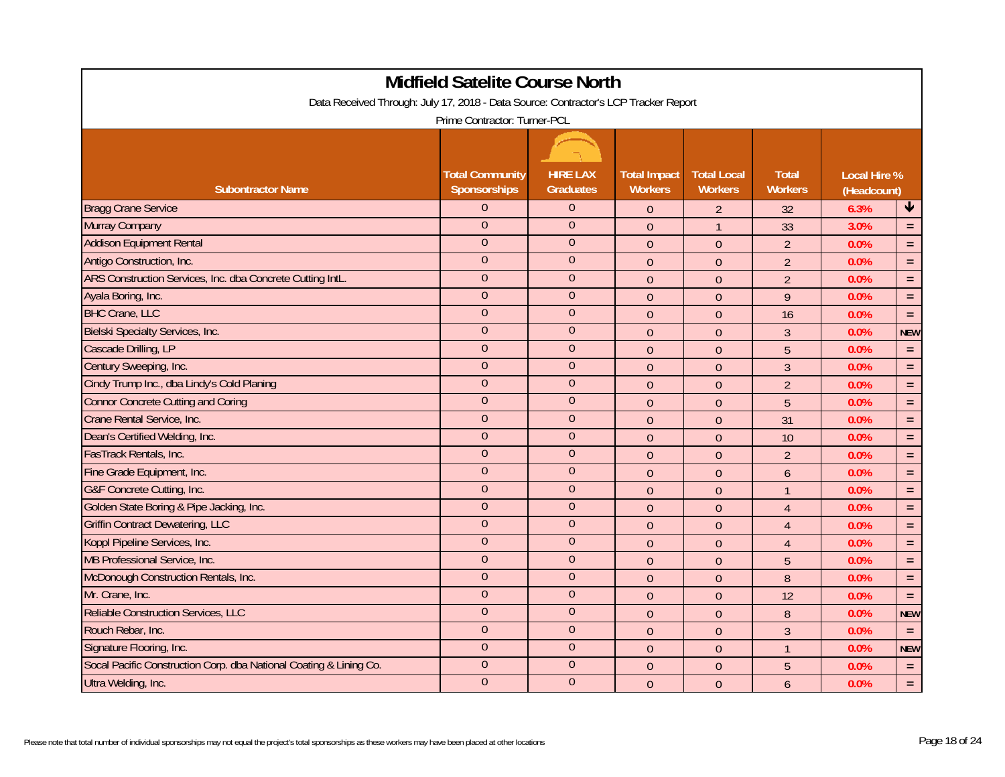|                                                                                     | <b>Midfield Satelite Course North</b>  |                                     |                                       |                                      |                                |                                    |                 |  |  |
|-------------------------------------------------------------------------------------|----------------------------------------|-------------------------------------|---------------------------------------|--------------------------------------|--------------------------------|------------------------------------|-----------------|--|--|
| Data Received Through: July 17, 2018 - Data Source: Contractor's LCP Tracker Report |                                        |                                     |                                       |                                      |                                |                                    |                 |  |  |
| Prime Contractor: Turner-PCL                                                        |                                        |                                     |                                       |                                      |                                |                                    |                 |  |  |
|                                                                                     |                                        |                                     |                                       |                                      |                                |                                    |                 |  |  |
| <b>Subontractor Name</b>                                                            | <b>Total Community</b><br>Sponsorships | <b>HIRE LAX</b><br><b>Graduates</b> | <b>Total Impact</b><br><b>Workers</b> | <b>Total Local</b><br><b>Workers</b> | <b>Total</b><br><b>Workers</b> | <b>Local Hire %</b><br>(Headcount) |                 |  |  |
| <b>Bragg Crane Service</b>                                                          | $\overline{0}$                         | $\overline{0}$                      | $\Omega$                              | $\overline{2}$                       | 32                             | 6.3%                               | $\blacklozenge$ |  |  |
| Murray Company                                                                      | $\Omega$                               | $\Omega$                            | $\overline{0}$                        | $\mathbf{1}$                         | 33                             | 3.0%                               | $\equiv$        |  |  |
| <b>Addison Equipment Rental</b>                                                     | $\theta$                               | $\mathbf{0}$                        | $\theta$                              | $\theta$                             | $\overline{2}$                 | 0.0%                               | $\equiv$        |  |  |
| Antigo Construction, Inc.                                                           | $\overline{0}$                         | $\overline{0}$                      | $\mathbf{0}$                          | $\theta$                             | $\overline{2}$                 | 0.0%                               | $\equiv$        |  |  |
| ARS Construction Services, Inc. dba Concrete Cutting IntL.                          | $\theta$                               | $\theta$                            | $\boldsymbol{0}$                      | $\theta$                             | $\overline{2}$                 | 0.0%                               | $\equiv$        |  |  |
| Ayala Boring, Inc.                                                                  | $\overline{0}$                         | $\Omega$                            | $\overline{0}$                        | $\overline{0}$                       | 9                              | 0.0%                               | $\equiv$        |  |  |
| <b>BHC Crane, LLC</b>                                                               | $\overline{0}$                         | $\overline{0}$                      | $\overline{0}$                        | $\theta$                             | 16                             | 0.0%                               | $\equiv$        |  |  |
| <b>Bielski Specialty Services, Inc.</b>                                             | $\overline{0}$                         | $\mathbf{0}$                        | $\overline{0}$                        | $\theta$                             | $\mathfrak{Z}$                 | 0.0%                               | <b>NEW</b>      |  |  |
| Cascade Drilling, LP                                                                | $\overline{0}$                         | $\overline{0}$                      | $\overline{0}$                        | $\theta$                             | 5                              | 0.0%                               | $\equiv$        |  |  |
| Century Sweeping, Inc.                                                              | $\overline{0}$                         | $\mathbf{0}$                        | $\theta$                              | $\theta$                             | $\overline{3}$                 | 0.0%                               | $\equiv$        |  |  |
| Cindy Trump Inc., dba Lindy's Cold Planing                                          | $\theta$                               | $\mathbf{0}$                        | $\overline{0}$                        | $\theta$                             | $\overline{2}$                 | 0.0%                               | $\equiv$        |  |  |
| <b>Connor Concrete Cutting and Coring</b>                                           | $\theta$                               | $\mathbf{0}$                        | $\theta$                              | $\overline{0}$                       | $\overline{5}$                 | 0.0%                               | $\equiv$        |  |  |
| Crane Rental Service, Inc.                                                          | $\overline{0}$                         | $\overline{0}$                      | $\mathbf{0}$                          | $\theta$                             | 31                             | 0.0%                               | $\equiv$        |  |  |
| Dean's Certified Welding, Inc.                                                      | $\overline{0}$                         | $\overline{0}$                      | $\mathbf{0}$                          | $\overline{0}$                       | 10                             | 0.0%                               | $\equiv$        |  |  |
| FasTrack Rentals, Inc.                                                              | $\overline{0}$                         | $\theta$                            | $\overline{0}$                        | $\theta$                             | $\overline{2}$                 | 0.0%                               | $\equiv$        |  |  |
| Fine Grade Equipment, Inc.                                                          | $\Omega$                               | $\overline{0}$                      | $\overline{0}$                        | $\overline{0}$                       | $\overline{6}$                 | 0.0%                               | $\equiv$        |  |  |
| G&F Concrete Cutting, Inc.                                                          | $\theta$                               | $\theta$                            | $\overline{0}$                        | $\theta$                             | $\mathbf{1}$                   | 0.0%                               | $\equiv$        |  |  |
| Golden State Boring & Pipe Jacking, Inc.                                            | $\overline{0}$                         | $\overline{0}$                      | $\overline{0}$                        | $\theta$                             | $\overline{4}$                 | 0.0%                               | $\equiv$        |  |  |
| <b>Griffin Contract Dewatering, LLC</b>                                             | $\overline{0}$                         | $\theta$                            | $\overline{0}$                        | $\theta$                             | $\overline{4}$                 | 0.0%                               | $\equiv$        |  |  |
| Koppl Pipeline Services, Inc.                                                       | $\overline{0}$                         | $\mathbf{0}$                        | $\overline{0}$                        | $\theta$                             | $\overline{4}$                 | 0.0%                               | $\equiv$        |  |  |
| MB Professional Service, Inc.                                                       | $\overline{0}$                         | $\overline{0}$                      | $\overline{0}$                        | $\theta$                             | 5                              | 0.0%                               | $\equiv$        |  |  |
| McDonough Construction Rentals, Inc.                                                | $\Omega$                               | $\Omega$                            | $\theta$                              | $\overline{0}$                       | 8                              | 0.0%                               | $\equiv$        |  |  |
| Mr. Crane, Inc.                                                                     | $\boldsymbol{0}$                       | $\pmb{0}$                           | $\mathbf{0}$                          | $\theta$                             | 12                             | 0.0%                               | $\equiv$        |  |  |
| Reliable Construction Services, LLC                                                 | $\theta$                               | $\theta$                            | $\overline{0}$                        | $\overline{0}$                       | $\boldsymbol{8}$               | 0.0%                               | <b>NEW</b>      |  |  |
| Rouch Rebar, Inc.                                                                   | $\overline{0}$                         | $\overline{0}$                      | $\theta$                              | $\theta$                             | $\mathfrak{Z}$                 | 0.0%                               | $\equiv$        |  |  |
| Signature Flooring, Inc.                                                            | $\overline{0}$                         | $\theta$                            | $\overline{0}$                        | $\mathbf{0}$                         | $\mathbf{1}$                   | 0.0%                               | <b>NEW</b>      |  |  |
| Socal Pacific Construction Corp. dba National Coating & Lining Co.                  | $\theta$                               | $\theta$                            | $\overline{0}$                        | $\theta$                             | 5                              | 0.0%                               | $\equiv$        |  |  |
| Ultra Welding, Inc.                                                                 | $\overline{0}$                         | $\overline{0}$                      | $\overline{0}$                        | $\overline{0}$                       | $\mathfrak b$                  | 0.0%                               | $\equiv$        |  |  |